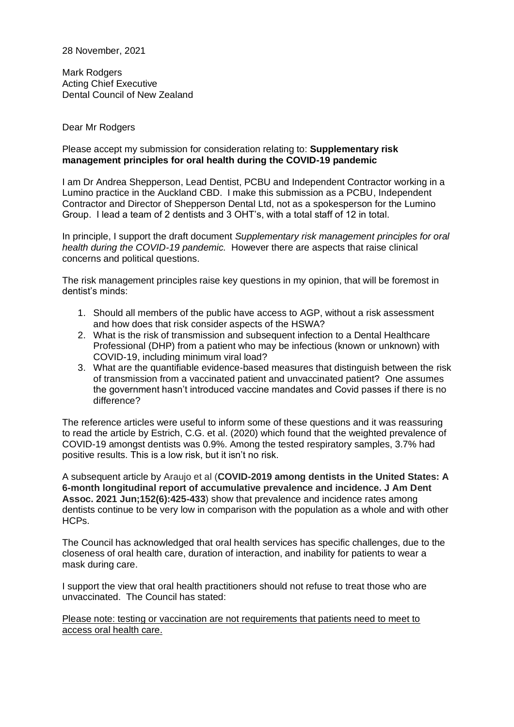28 November, 2021

Mark Rodgers Acting Chief Executive Dental Council of New Zealand

## Dear Mr Rodgers

## Please accept my submission for consideration relating to: **Supplementary risk management principles for oral health during the COVID-19 pandemic**

I am Dr Andrea Shepperson, Lead Dentist, PCBU and Independent Contractor working in a Lumino practice in the Auckland CBD. I make this submission as a PCBU, Independent Contractor and Director of Shepperson Dental Ltd, not as a spokesperson for the Lumino Group. I lead a team of 2 dentists and 3 OHT's, with a total staff of 12 in total.

In principle, I support the draft document *Supplementary risk management principles for oral health during the COVID-19 pandemic.* However there are aspects that raise clinical concerns and political questions.

The risk management principles raise key questions in my opinion, that will be foremost in dentist's minds:

- 1. Should all members of the public have access to AGP, without a risk assessment and how does that risk consider aspects of the HSWA?
- 2. What is the risk of transmission and subsequent infection to a Dental Healthcare Professional (DHP) from a patient who may be infectious (known or unknown) with COVID-19, including minimum viral load?
- 3. What are the quantifiable evidence-based measures that distinguish between the risk of transmission from a vaccinated patient and unvaccinated patient? One assumes the government hasn't introduced vaccine mandates and Covid passes if there is no difference?

The reference articles were useful to inform some of these questions and it was reassuring to read the article by Estrich, C.G. et al. (2020) which found that the weighted prevalence of COVID-19 amongst dentists was 0.9%. Among the tested respiratory samples, 3.7% had positive results. This is a low risk, but it isn't no risk.

A subsequent article by Araujo et al (**COVID-2019 among dentists in the United States: A 6-month longitudinal report of accumulative prevalence and incidence. J Am Dent Assoc. 2021 Jun;152(6):425-433**) show that prevalence and incidence rates among dentists continue to be very low in comparison with the population as a whole and with other HCPs.

The Council has acknowledged that oral health services has specific challenges, due to the closeness of oral health care, duration of interaction, and inability for patients to wear a mask during care.

I support the view that oral health practitioners should not refuse to treat those who are unvaccinated. The Council has stated:

Please note: testing or vaccination are not requirements that patients need to meet to access oral health care.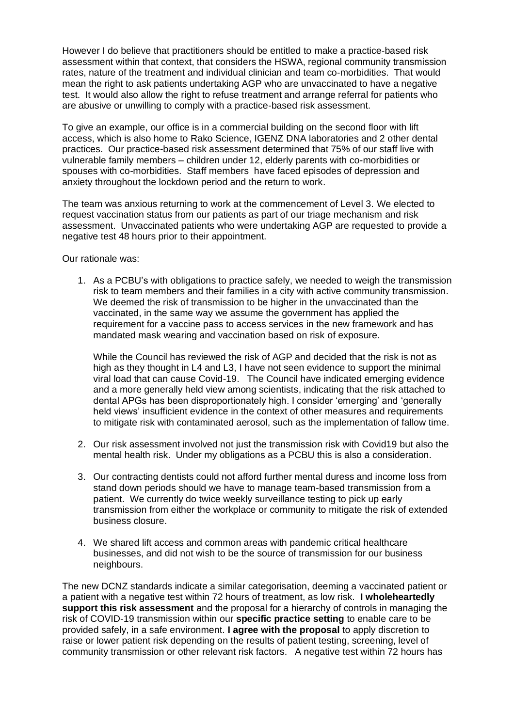However I do believe that practitioners should be entitled to make a practice-based risk assessment within that context, that considers the HSWA, regional community transmission rates, nature of the treatment and individual clinician and team co-morbidities. That would mean the right to ask patients undertaking AGP who are unvaccinated to have a negative test. It would also allow the right to refuse treatment and arrange referral for patients who are abusive or unwilling to comply with a practice-based risk assessment.

To give an example, our office is in a commercial building on the second floor with lift access, which is also home to Rako Science, IGENZ DNA laboratories and 2 other dental practices. Our practice-based risk assessment determined that 75% of our staff live with vulnerable family members – children under 12, elderly parents with co-morbidities or spouses with co-morbidities. Staff members have faced episodes of depression and anxiety throughout the lockdown period and the return to work.

The team was anxious returning to work at the commencement of Level 3. We elected to request vaccination status from our patients as part of our triage mechanism and risk assessment. Unvaccinated patients who were undertaking AGP are requested to provide a negative test 48 hours prior to their appointment.

Our rationale was:

1. As a PCBU's with obligations to practice safely, we needed to weigh the transmission risk to team members and their families in a city with active community transmission. We deemed the risk of transmission to be higher in the unvaccinated than the vaccinated, in the same way we assume the government has applied the requirement for a vaccine pass to access services in the new framework and has mandated mask wearing and vaccination based on risk of exposure.

While the Council has reviewed the risk of AGP and decided that the risk is not as high as they thought in L4 and L3, I have not seen evidence to support the minimal viral load that can cause Covid-19. The Council have indicated emerging evidence and a more generally held view among scientists, indicating that the risk attached to dental APGs has been disproportionately high. I consider 'emerging' and 'generally held views' insufficient evidence in the context of other measures and requirements to mitigate risk with contaminated aerosol, such as the implementation of fallow time.

- 2. Our risk assessment involved not just the transmission risk with Covid19 but also the mental health risk. Under my obligations as a PCBU this is also a consideration.
- 3. Our contracting dentists could not afford further mental duress and income loss from stand down periods should we have to manage team-based transmission from a patient. We currently do twice weekly surveillance testing to pick up early transmission from either the workplace or community to mitigate the risk of extended business closure.
- 4. We shared lift access and common areas with pandemic critical healthcare businesses, and did not wish to be the source of transmission for our business neighbours.

The new DCNZ standards indicate a similar categorisation, deeming a vaccinated patient or a patient with a negative test within 72 hours of treatment, as low risk. **I wholeheartedly support this risk assessment** and the proposal for a hierarchy of controls in managing the risk of COVID-19 transmission within our **specific practice setting** to enable care to be provided safely, in a safe environment. **I agree with the proposal** to apply discretion to raise or lower patient risk depending on the results of patient testing, screening, level of community transmission or other relevant risk factors. A negative test within 72 hours has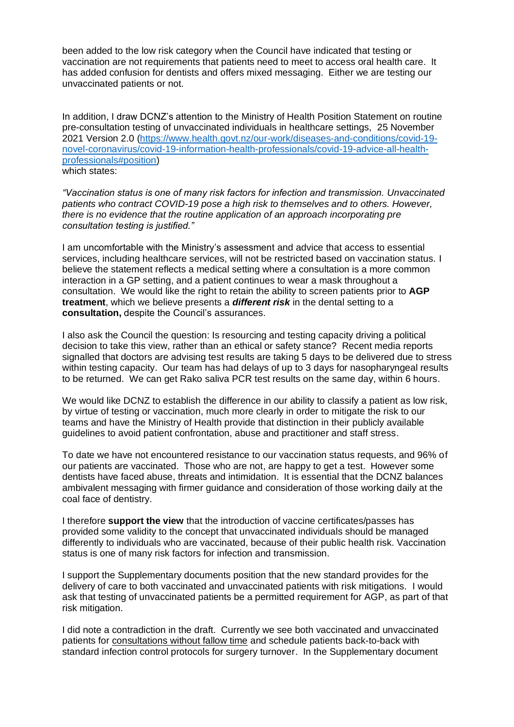been added to the low risk category when the Council have indicated that testing or vaccination are not requirements that patients need to meet to access oral health care. It has added confusion for dentists and offers mixed messaging. Either we are testing our unvaccinated patients or not.

In addition, I draw DCNZ's attention to the Ministry of Health Position Statement on routine pre-consultation testing of unvaccinated individuals in healthcare settings, 25 November 2021 Version 2.0 [\(https://www.health.govt.nz/our-work/diseases-and-conditions/covid-19](https://www.health.govt.nz/our-work/diseases-and-conditions/covid-19-novel-coronavirus/covid-19-information-health-professionals/covid-19-advice-all-health-professionals#position) [novel-coronavirus/covid-19-information-health-professionals/covid-19-advice-all-health](https://www.health.govt.nz/our-work/diseases-and-conditions/covid-19-novel-coronavirus/covid-19-information-health-professionals/covid-19-advice-all-health-professionals#position)[professionals#position\)](https://www.health.govt.nz/our-work/diseases-and-conditions/covid-19-novel-coronavirus/covid-19-information-health-professionals/covid-19-advice-all-health-professionals#position) which states:

*"Vaccination status is one of many risk factors for infection and transmission. Unvaccinated patients who contract COVID-19 pose a high risk to themselves and to others. However, there is no evidence that the routine application of an approach incorporating pre consultation testing is justified."*

I am uncomfortable with the Ministry's assessment and advice that access to essential services, including healthcare services, will not be restricted based on vaccination status. I believe the statement reflects a medical setting where a consultation is a more common interaction in a GP setting, and a patient continues to wear a mask throughout a consultation. We would like the right to retain the ability to screen patients prior to **AGP treatment**, which we believe presents a *different risk* in the dental setting to a **consultation,** despite the Council's assurances.

I also ask the Council the question: Is resourcing and testing capacity driving a political decision to take this view, rather than an ethical or safety stance? Recent media reports signalled that doctors are advising test results are taking 5 days to be delivered due to stress within testing capacity. Our team has had delays of up to 3 days for nasopharyngeal results to be returned. We can get Rako saliva PCR test results on the same day, within 6 hours.

We would like DCNZ to establish the difference in our ability to classify a patient as low risk, by virtue of testing or vaccination, much more clearly in order to mitigate the risk to our teams and have the Ministry of Health provide that distinction in their publicly available guidelines to avoid patient confrontation, abuse and practitioner and staff stress.

To date we have not encountered resistance to our vaccination status requests, and 96% of our patients are vaccinated. Those who are not, are happy to get a test. However some dentists have faced abuse, threats and intimidation. It is essential that the DCNZ balances ambivalent messaging with firmer guidance and consideration of those working daily at the coal face of dentistry.

I therefore **support the view** that the introduction of vaccine certificates/passes has provided some validity to the concept that unvaccinated individuals should be managed differently to individuals who are vaccinated, because of their public health risk. Vaccination status is one of many risk factors for infection and transmission.

I support the Supplementary documents position that the new standard provides for the delivery of care to both vaccinated and unvaccinated patients with risk mitigations. I would ask that testing of unvaccinated patients be a permitted requirement for AGP, as part of that risk mitigation.

I did note a contradiction in the draft. Currently we see both vaccinated and unvaccinated patients for consultations without fallow time and schedule patients back-to-back with standard infection control protocols for surgery turnover. In the Supplementary document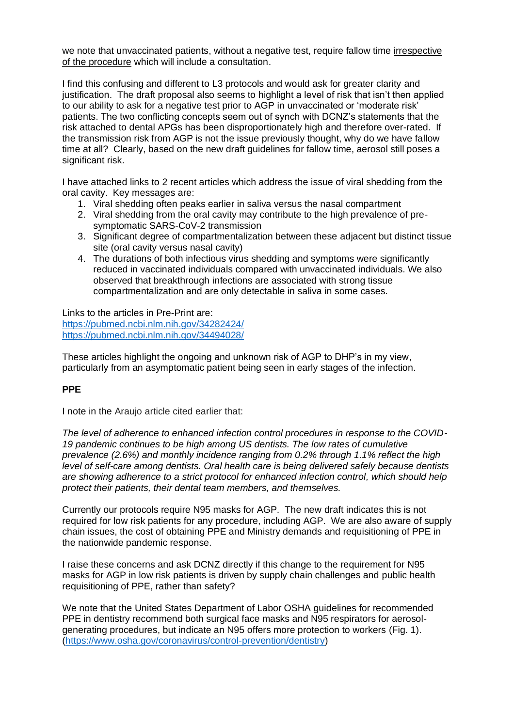we note that unvaccinated patients, without a negative test, require fallow time irrespective of the procedure which will include a consultation.

I find this confusing and different to L3 protocols and would ask for greater clarity and justification. The draft proposal also seems to highlight a level of risk that isn't then applied to our ability to ask for a negative test prior to AGP in unvaccinated or 'moderate risk' patients. The two conflicting concepts seem out of synch with DCNZ's statements that the risk attached to dental APGs has been disproportionately high and therefore over-rated. If the transmission risk from AGP is not the issue previously thought, why do we have fallow time at all? Clearly, based on the new draft guidelines for fallow time, aerosol still poses a significant risk.

I have attached links to 2 recent articles which address the issue of viral shedding from the oral cavity. Key messages are:

- 1. Viral shedding often peaks earlier in saliva versus the nasal compartment
- 2. Viral shedding from the oral cavity may contribute to the high prevalence of presymptomatic SARS-CoV-2 transmission
- 3. Significant degree of compartmentalization between these adjacent but distinct tissue site (oral cavity versus nasal cavity)
- 4. The durations of both infectious virus shedding and symptoms were significantly reduced in vaccinated individuals compared with unvaccinated individuals. We also observed that breakthrough infections are associated with strong tissue compartmentalization and are only detectable in saliva in some cases.

Links to the articles in Pre-Print are: <https://pubmed.ncbi.nlm.nih.gov/34282424/> <https://pubmed.ncbi.nlm.nih.gov/34494028/>

These articles highlight the ongoing and unknown risk of AGP to DHP's in my view, particularly from an asymptomatic patient being seen in early stages of the infection.

## **PPE**

I note in the Araujo article cited earlier that:

*The level of adherence to enhanced infection control procedures in response to the COVID-19 pandemic continues to be high among US dentists. The low rates of cumulative prevalence (2.6%) and monthly incidence ranging from 0.2% through 1.1% reflect the high level of self-care among dentists. Oral health care is being delivered safely because dentists are showing adherence to a strict protocol for enhanced infection control, which should help protect their patients, their dental team members, and themselves.*

Currently our protocols require N95 masks for AGP. The new draft indicates this is not required for low risk patients for any procedure, including AGP. We are also aware of supply chain issues, the cost of obtaining PPE and Ministry demands and requisitioning of PPE in the nationwide pandemic response.

I raise these concerns and ask DCNZ directly if this change to the requirement for N95 masks for AGP in low risk patients is driven by supply chain challenges and public health requisitioning of PPE, rather than safety?

We note that the United States Department of Labor OSHA guidelines for recommended PPE in dentistry recommend both surgical face masks and N95 respirators for aerosolgenerating procedures, but indicate an N95 offers more protection to workers (Fig. 1). [\(https://www.osha.gov/coronavirus/control-prevention/dentistry\)](https://www.osha.gov/coronavirus/control-prevention/dentistry)